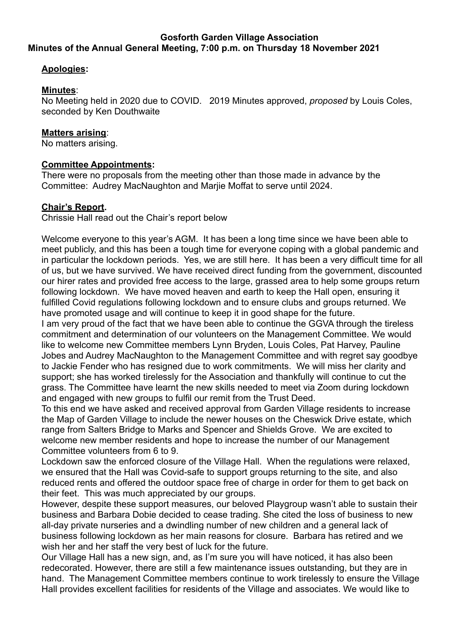## **Gosforth Garden Village Association Minutes of the Annual General Meeting, 7:00 p.m. on Thursday 18 November 2021**

# **Apologies:**

## **Minutes**:

No Meeting held in 2020 due to COVID. 2019 Minutes approved, *proposed* by Louis Coles, seconded by Ken Douthwaite

### **Matters arising**:

No matters arising.

## **Committee Appointments:**

There were no proposals from the meeting other than those made in advance by the Committee: Audrey MacNaughton and Marjie Moffat to serve until 2024.

#### **Chair's Report.**

Chrissie Hall read out the Chair's report below

Welcome everyone to this year's AGM. It has been a long time since we have been able to meet publicly, and this has been a tough time for everyone coping with a global pandemic and in particular the lockdown periods. Yes, we are still here. It has been a very difficult time for all of us, but we have survived. We have received direct funding from the government, discounted our hirer rates and provided free access to the large, grassed area to help some groups return following lockdown. We have moved heaven and earth to keep the Hall open, ensuring it fulfilled Covid regulations following lockdown and to ensure clubs and groups returned. We have promoted usage and will continue to keep it in good shape for the future.

I am very proud of the fact that we have been able to continue the GGVA through the tireless commitment and determination of our volunteers on the Management Committee. We would like to welcome new Committee members Lynn Bryden, Louis Coles, Pat Harvey, Pauline Jobes and Audrey MacNaughton to the Management Committee and with regret say goodbye to Jackie Fender who has resigned due to work commitments. We will miss her clarity and support; she has worked tirelessly for the Association and thankfully will continue to cut the grass. The Committee have learnt the new skills needed to meet via Zoom during lockdown and engaged with new groups to fulfil our remit from the Trust Deed.

To this end we have asked and received approval from Garden Village residents to increase the Map of Garden Village to include the newer houses on the Cheswick Drive estate, which range from Salters Bridge to Marks and Spencer and Shields Grove. We are excited to welcome new member residents and hope to increase the number of our Management Committee volunteers from 6 to 9.

Lockdown saw the enforced closure of the Village Hall. When the regulations were relaxed, we ensured that the Hall was Covid-safe to support groups returning to the site, and also reduced rents and offered the outdoor space free of charge in order for them to get back on their feet. This was much appreciated by our groups.

However, despite these support measures, our beloved Playgroup wasn't able to sustain their business and Barbara Dobie decided to cease trading. She cited the loss of business to new all-day private nurseries and a dwindling number of new children and a general lack of business following lockdown as her main reasons for closure. Barbara has retired and we wish her and her staff the very best of luck for the future.

Our Village Hall has a new sign, and, as I'm sure you will have noticed, it has also been redecorated. However, there are still a few maintenance issues outstanding, but they are in hand. The Management Committee members continue to work tirelessly to ensure the Village Hall provides excellent facilities for residents of the Village and associates. We would like to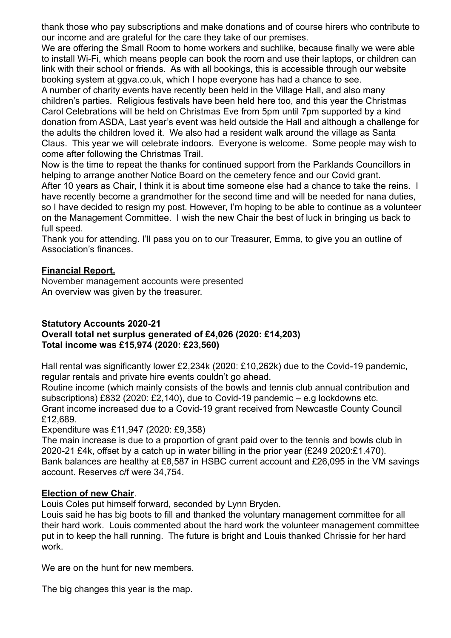thank those who pay subscriptions and make donations and of course hirers who contribute to our income and are grateful for the care they take of our premises.

We are offering the Small Room to home workers and suchlike, because finally we were able to install Wi-Fi, which means people can book the room and use their laptops, or children can link with their school or friends. As with all bookings, this is accessible through our website booking system at ggva.co.uk, which I hope everyone has had a chance to see.

A number of charity events have recently been held in the Village Hall, and also many children's parties. Religious festivals have been held here too, and this year the Christmas Carol Celebrations will be held on Christmas Eve from 5pm until 7pm supported by a kind donation from ASDA, Last year's event was held outside the Hall and although a challenge for the adults the children loved it. We also had a resident walk around the village as Santa Claus. This year we will celebrate indoors. Everyone is welcome. Some people may wish to come after following the Christmas Trail.

Now is the time to repeat the thanks for continued support from the Parklands Councillors in helping to arrange another Notice Board on the cemetery fence and our Covid grant. After 10 years as Chair, I think it is about time someone else had a chance to take the reins. I have recently become a grandmother for the second time and will be needed for nana duties, so I have decided to resign my post. However, I'm hoping to be able to continue as a volunteer on the Management Committee. I wish the new Chair the best of luck in bringing us back to full speed.

Thank you for attending. I'll pass you on to our Treasurer, Emma, to give you an outline of Association's finances.

# **Financial Report.**

November management accounts were presented An overview was given by the treasurer.

# **Statutory Accounts 2020-21**

# **Overall total net surplus generated of £4,026 (2020: £14,203) Total income was £15,974 (2020: £23,560)**

Hall rental was significantly lower £2,234k (2020: £10,262k) due to the Covid-19 pandemic, regular rentals and private hire events couldn't go ahead.

Routine income (which mainly consists of the bowls and tennis club annual contribution and subscriptions) £832 (2020: £2,140), due to Covid-19 pandemic – e.g lockdowns etc. Grant income increased due to a Covid-19 grant received from Newcastle County Council £12,689.

Expenditure was £11,947 (2020: £9,358)

The main increase is due to a proportion of grant paid over to the tennis and bowls club in 2020-21 £4k, offset by a catch up in water billing in the prior year (£249 2020:£1.470). Bank balances are healthy at £8,587 in HSBC current account and £26,095 in the VM savings account. Reserves c/f were 34,754.

# **Election of new Chair**.

Louis Coles put himself forward, seconded by Lynn Bryden.

Louis said he has big boots to fill and thanked the voluntary management committee for all their hard work. Louis commented about the hard work the volunteer management committee put in to keep the hall running. The future is bright and Louis thanked Chrissie for her hard work.

We are on the hunt for new members.

The big changes this year is the map.